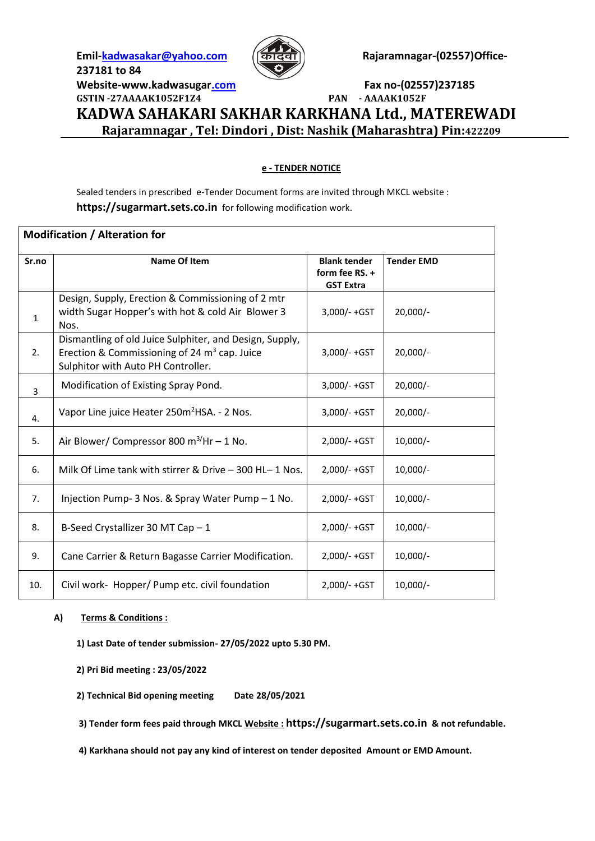**237181 to 84**



Emil-**kadwasakar@yahoo.com (<del>[कॅटिव</del>ो)</u> Rajaramnagar-(02557)Office-**

**Website-www.kadwasuga[r.com](mailto:kadwasakar@yahoo.com) Fax no-(02557)237185**

**GSTIN -27AAAAK1052F1Z4 PAN - AAAAK1052F KADWA SAHAKARI SAKHAR KARKHANA Ltd., MATEREWADI Rajaramnagar , Tel: Dindori , Dist: Nashik (Maharashtra) Pin:422209**

## **e - TENDER NOTICE**

Sealed tenders in prescribed e-Tender Document forms are invited through MKCL website : **https://sugarmart.sets.co.in** for following modification work.

| <b>Modification / Alteration for</b> |                                                                                                                                                 |                                                           |                   |
|--------------------------------------|-------------------------------------------------------------------------------------------------------------------------------------------------|-----------------------------------------------------------|-------------------|
| Sr.no                                | <b>Name Of Item</b>                                                                                                                             | <b>Blank tender</b><br>form fee RS. +<br><b>GST Extra</b> | <b>Tender EMD</b> |
| $\mathbf{1}$                         | Design, Supply, Erection & Commissioning of 2 mtr<br>width Sugar Hopper's with hot & cold Air Blower 3<br>Nos.                                  | 3,000/-+GST                                               | $20,000/-$        |
| 2.                                   | Dismantling of old Juice Sulphiter, and Design, Supply,<br>Erection & Commissioning of 24 $m3$ cap. Juice<br>Sulphitor with Auto PH Controller. | 3,000/-+GST                                               | $20,000/-$        |
| $\overline{3}$                       | Modification of Existing Spray Pond.                                                                                                            | $3,000/- + GST$                                           | $20,000/-$        |
| 4.                                   | Vapor Line juice Heater 250m <sup>2</sup> HSA. - 2 Nos.                                                                                         | 3,000/-+GST                                               | $20,000/-$        |
| 5.                                   | Air Blower/ Compressor 800 m <sup>3/</sup> Hr - 1 No.                                                                                           | 2,000/-+GST                                               | $10,000/-$        |
| 6.                                   | Milk Of Lime tank with stirrer & Drive - 300 HL-1 Nos.                                                                                          | 2,000/-+GST                                               | $10,000/-$        |
| 7.                                   | Injection Pump- 3 Nos. & Spray Water Pump - 1 No.                                                                                               | 2,000/-+GST                                               | $10,000/-$        |
| 8.                                   | B-Seed Crystallizer 30 MT Cap - 1                                                                                                               | 2,000/-+GST                                               | $10,000/-$        |
| 9.                                   | Cane Carrier & Return Bagasse Carrier Modification.                                                                                             | 2,000/-+GST                                               | $10,000/-$        |
| 10.                                  | Civil work- Hopper/ Pump etc. civil foundation                                                                                                  | 2,000/-+GST                                               | 10,000/-          |

## **A) Terms & Conditions :**

**1) Last Date of tender submission- 27/05/2022 upto 5.30 PM.**

**2) Pri Bid meeting : 23/05/2022**

**2) Technical Bid opening meeting Date 28/05/2021**

**3) Tender form fees paid through MKCL Website : https://sugarmart.sets.co.in & not refundable.**

**4) Karkhana should not pay any kind of interest on tender deposited Amount or EMD Amount.**